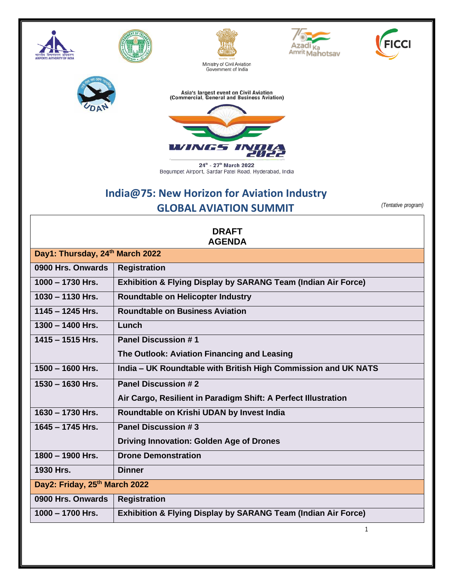









Asia's largest event on Civil Aviation<br>(Commercial, General and Business Aviation)



24<sup>th</sup> - 27<sup>th</sup> March 2022<br>Begumpet Airport, Sardar Patel Road, Hyderabad, India

## **India@75: New Horizon for Aviation Industry GLOBAL AVIATION SUMMIT** *(Tentative program)*

| <b>DRAFT</b><br><b>AGENDA</b>   |                                                                          |
|---------------------------------|--------------------------------------------------------------------------|
| Day1: Thursday, 24th March 2022 |                                                                          |
| 0900 Hrs. Onwards               | <b>Registration</b>                                                      |
| $1000 - 1730$ Hrs.              | <b>Exhibition &amp; Flying Display by SARANG Team (Indian Air Force)</b> |
| $1030 - 1130$ Hrs.              | <b>Roundtable on Helicopter Industry</b>                                 |
| $1145 - 1245$ Hrs.              | <b>Roundtable on Business Aviation</b>                                   |
| $1300 - 1400$ Hrs.              | Lunch                                                                    |
| $1415 - 1515$ Hrs.              | <b>Panel Discussion #1</b>                                               |
|                                 | The Outlook: Aviation Financing and Leasing                              |
| $1500 - 1600$ Hrs.              | India - UK Roundtable with British High Commission and UK NATS           |
| $1530 - 1630$ Hrs.              | <b>Panel Discussion #2</b>                                               |
|                                 | Air Cargo, Resilient in Paradigm Shift: A Perfect Illustration           |
| 1630 - 1730 Hrs.                | Roundtable on Krishi UDAN by Invest India                                |
| $1645 - 1745$ Hrs.              | Panel Discussion #3                                                      |
|                                 | <b>Driving Innovation: Golden Age of Drones</b>                          |
| $1800 - 1900$ Hrs.              | <b>Drone Demonstration</b>                                               |
| 1930 Hrs.                       | <b>Dinner</b>                                                            |
| Day2: Friday, 25th March 2022   |                                                                          |
| 0900 Hrs. Onwards               | <b>Registration</b>                                                      |
| $1000 - 1700$ Hrs.              | <b>Exhibition &amp; Flying Display by SARANG Team (Indian Air Force)</b> |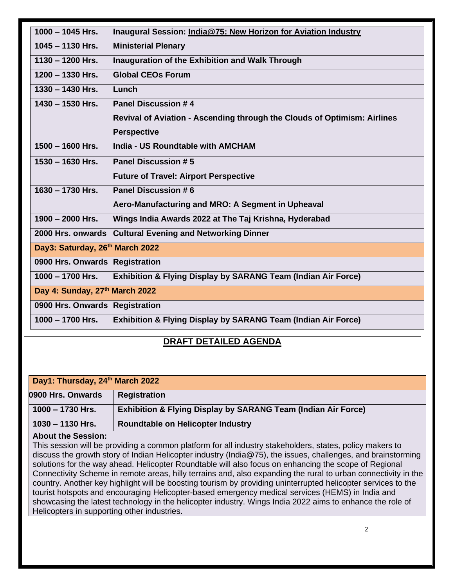| $1000 - 1045$ Hrs.              | Inaugural Session: India@75: New Horizon for Aviation Industry           |
|---------------------------------|--------------------------------------------------------------------------|
| $1045 - 1130$ Hrs.              | <b>Ministerial Plenary</b>                                               |
| $1130 - 1200$ Hrs.              | Inauguration of the Exhibition and Walk Through                          |
| $1200 - 1330$ Hrs.              | <b>Global CEOs Forum</b>                                                 |
| $1330 - 1430$ Hrs.              | Lunch                                                                    |
| $1430 - 1530$ Hrs.              | <b>Panel Discussion #4</b>                                               |
|                                 | Revival of Aviation - Ascending through the Clouds of Optimism: Airlines |
|                                 | <b>Perspective</b>                                                       |
| $1500 - 1600$ Hrs.              | <b>India - US Roundtable with AMCHAM</b>                                 |
| $1530 - 1630$ Hrs.              | <b>Panel Discussion #5</b>                                               |
|                                 | <b>Future of Travel: Airport Perspective</b>                             |
| $1630 - 1730$ Hrs.              | Panel Discussion #6                                                      |
|                                 | Aero-Manufacturing and MRO: A Segment in Upheaval                        |
| 1900 - 2000 Hrs.                | Wings India Awards 2022 at The Taj Krishna, Hyderabad                    |
| 2000 Hrs. onwards               | <b>Cultural Evening and Networking Dinner</b>                            |
| Day3: Saturday, 26th March 2022 |                                                                          |
| 0900 Hrs. Onwards Registration  |                                                                          |
| $1000 - 1700$ Hrs.              | <b>Exhibition &amp; Flying Display by SARANG Team (Indian Air Force)</b> |
| Day 4: Sunday, 27th March 2022  |                                                                          |
| 0900 Hrs. Onwards Registration  |                                                                          |
| $1000 - 1700$ Hrs.              | <b>Exhibition &amp; Flying Display by SARANG Team (Indian Air Force)</b> |
|                                 |                                                                          |

## **DRAFT DETAILED AGENDA**

| Day1: Thursday, 24th March 2022                                                                                |                                                                          |
|----------------------------------------------------------------------------------------------------------------|--------------------------------------------------------------------------|
| 0900 Hrs. Onwards                                                                                              | <b>Registration</b>                                                      |
| $1000 - 1730$ Hrs.                                                                                             | <b>Exhibition &amp; Flying Display by SARANG Team (Indian Air Force)</b> |
| $1030 - 1130$ Hrs.                                                                                             | <b>Roundtable on Helicopter Industry</b>                                 |
| <b>About the Session:</b>                                                                                      |                                                                          |
| This session will be providing a common platform for all industry stakeholders, states, policy makers to       |                                                                          |
| discuss the growth story of Indian Helicopter industry (India@75), the issues, challenges, and brainstorming   |                                                                          |
| solutions for the way ahead. Helicopter Roundtable will also focus on enhancing the scope of Regional          |                                                                          |
| Connectivity Scheme in remote areas, hilly terrains and, also expanding the rural to urban connectivity in the |                                                                          |

country. Another key highlight will be boosting tourism by providing uninterrupted helicopter services to the tourist hotspots and encouraging Helicopter-based emergency medical services (HEMS) in India and showcasing the latest technology in the helicopter industry. Wings India 2022 aims to enhance the role of Helicopters in supporting other industries.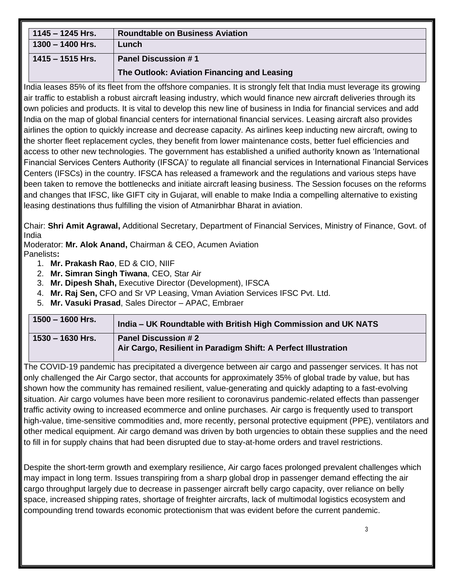| $1145 - 1245$ Hrs. | <b>Roundtable on Business Aviation</b>      |
|--------------------|---------------------------------------------|
| $1300 - 1400$ Hrs. | Lunch                                       |
| 1415 – 1515 Hrs.   | <b>Panel Discussion #1</b>                  |
|                    | The Outlook: Aviation Financing and Leasing |

India leases 85% of its fleet from the offshore companies. It is strongly felt that India must leverage its growing air traffic to establish a robust aircraft leasing industry, which would finance new aircraft deliveries through its own policies and products. It is vital to develop this new line of business in India for financial services and add India on the map of global financial centers for international financial services. Leasing aircraft also provides airlines the option to quickly increase and decrease capacity. As airlines keep inducting new aircraft, owing to the shorter fleet replacement cycles, they benefit from lower maintenance costs, better fuel efficiencies and access to other new technologies. The government has established a unified authority known as 'International Financial Services Centers Authority (IFSCA)' to regulate all financial services in International Financial Services Centers (IFSCs) in the country. IFSCA has released a framework and the regulations and various steps have been taken to remove the bottlenecks and initiate aircraft leasing business. The Session focuses on the reforms and changes that IFSC, like GIFT city in Gujarat, will enable to make India a compelling alternative to existing leasing destinations thus fulfilling the vision of Atmanirbhar Bharat in aviation.

Chair: **Shri Amit Agrawal,** Additional Secretary, Department of Financial Services, Ministry of Finance, Govt. of India

Moderator: **Mr. Alok Anand,** Chairman & CEO, Acumen Aviation Panelists**:**

- 1. **Mr. Prakash Rao**, ED & CIO, NIIF
- 2. **Mr. Simran Singh Tiwana**, CEO, Star Air
- 3. **Mr. Dipesh Shah,** Executive Director (Development), IFSCA
- 4. **Mr. Raj Sen,** CFO and Sr VP Leasing, Vman Aviation Services IFSC Pvt. Ltd.
- 5. **Mr. Vasuki Prasad**, Sales Director APAC, Embraer

| $1500 - 1600$ Hrs. | India – UK Roundtable with British High Commission and UK NATS                               |
|--------------------|----------------------------------------------------------------------------------------------|
| 1530 – 1630 Hrs.   | <b>Panel Discussion #2</b><br>Air Cargo, Resilient in Paradigm Shift: A Perfect Illustration |

The COVID-19 pandemic has precipitated a divergence between air cargo and passenger services. It has not only challenged the Air Cargo sector, that accounts for approximately 35% of global trade by value, but has shown how the community has remained resilient, value-generating and quickly adapting to a fast-evolving situation. Air cargo volumes have been more resilient to coronavirus pandemic-related effects than passenger traffic activity owing to increased ecommerce and online purchases. Air cargo is frequently used to transport high-value, time-sensitive commodities and, more recently, personal protective equipment (PPE), ventilators and other medical equipment. Air cargo demand was driven by both urgencies to obtain these supplies and the need to fill in for supply chains that had been disrupted due to stay-at-home orders and travel restrictions.

Despite the short-term growth and exemplary resilience, Air cargo faces prolonged prevalent challenges which may impact in long term. Issues transpiring from a sharp global drop in passenger demand effecting the air cargo throughput largely due to decrease in passenger aircraft belly cargo capacity, over reliance on belly space, increased shipping rates, shortage of freighter aircrafts, lack of multimodal logistics ecosystem and compounding trend towards economic protectionism that was evident before the current pandemic.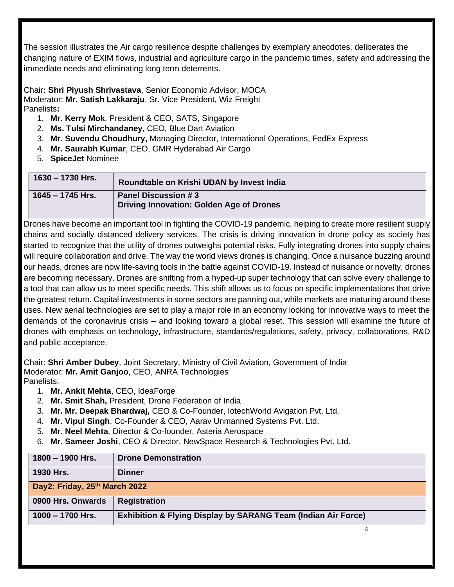The session illustrates the Air cargo resilience despite challenges by exemplary anecdotes, deliberates the changing nature of EXIM flows, industrial and agriculture cargo in the pandemic times, safety and addressing the immediate needs and eliminating long term deterrents.

Chair**: Shri Piyush Shrivastava**, Senior Economic Advisor, MOCA Moderator: **Mr. Satish Lakkaraju**, Sr. Vice President, Wiz Freight Panelists**:**

- 1. **Mr. Kerry Mok**, President & CEO, SATS, Singapore
- 2. **Ms. Tulsi Mirchandaney**, CEO, Blue Dart Aviation
- 3. **Mr. Suvendu Choudhury,** Managing Director, International Operations, FedEx Express
- 4. **Mr. Saurabh Kumar**, CEO, GMR Hyderabad Air Cargo
- 5. **SpiceJet** Nominee

| 1630 – 1730 Hrs.   | Roundtable on Krishi UDAN by Invest India                       |
|--------------------|-----------------------------------------------------------------|
| $1645 - 1745$ Hrs. | Panel Discussion #3<br>Driving Innovation: Golden Age of Drones |

Drones have become an important tool in fighting the COVID-19 pandemic, helping to create more resilient supply chains and socially distanced delivery services. The crisis is driving innovation in drone policy as society has started to recognize that the utility of drones outweighs potential risks. Fully integrating drones into supply chains will require collaboration and drive. The way the world views drones is changing. Once a nuisance buzzing around our heads, drones are now life-saving tools in the battle against COVID-19. Instead of nuisance or novelty, drones are becoming necessary. Drones are shifting from a hyped-up super technology that can solve every challenge to a tool that can allow us to meet specific needs. This shift allows us to focus on specific implementations that drive the greatest return. Capital investments in some sectors are panning out, while markets are maturing around these uses. New aerial technologies are set to play a major role in an economy looking for innovative ways to meet the demands of the coronavirus crisis – and looking toward a global reset. This session will examine the future of drones with emphasis on technology, infrastructure, standards/regulations, safety, privacy, collaborations, R&D and public acceptance.

Chair: **Shri Amber Dubey**, Joint Secretary, Ministry of Civil Aviation, Government of India Moderator: **Mr. Amit Ganjoo**, CEO, ANRA Technologies Panelists:

- 1. **Mr. Ankit Mehta**, CEO, IdeaForge
- 2. **Mr. Smit Shah,** President, Drone Federation of India
- 3. **Mr. Mr. Deepak Bhardwaj,** CEO & Co-Founder, IotechWorld Avigation Pvt. Ltd.
- 4. **Mr. Vipul Singh**, Co-Founder & CEO, Aarav Unmanned Systems Pvt. Ltd.
- 5. **Mr. Neel Mehta**, Director & Co-founder, Asteria Aerospace
- 6. **Mr. Sameer Joshi**, CEO & Director, NewSpace Research & Technologies Pvt. Ltd.

| 1800 - 1900 Hrs.              | <b>Drone Demonstration</b>                                               |  |
|-------------------------------|--------------------------------------------------------------------------|--|
| 1930 Hrs.                     | <b>Dinner</b>                                                            |  |
| Day2: Friday, 25th March 2022 |                                                                          |  |
| 0900 Hrs. Onwards             | <b>Registration</b>                                                      |  |
| $1000 - 1700$ Hrs.            | <b>Exhibition &amp; Flying Display by SARANG Team (Indian Air Force)</b> |  |
|                               |                                                                          |  |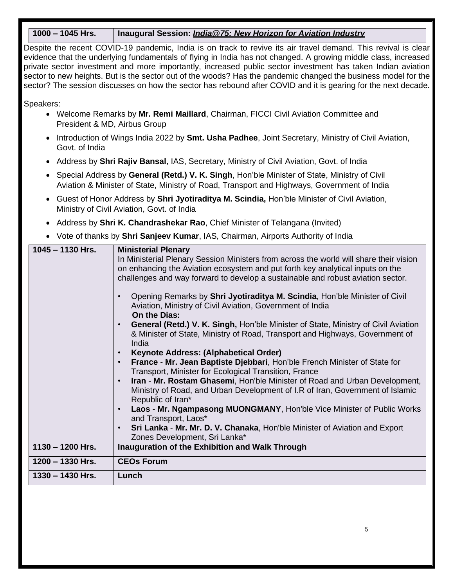## **1000 – 1045 Hrs. Inaugural Session:** *India@75: New Horizon for Aviation Industry*

Despite the recent COVID-19 pandemic, India is on track to revive its air travel demand. This revival is clear evidence that the underlying fundamentals of flying in India has not changed. A growing middle class, increased private sector investment and more importantly, increased public sector investment has taken Indian aviation sector to new heights. But is the sector out of the woods? Has the pandemic changed the business model for the sector? The session discusses on how the sector has rebound after COVID and it is gearing for the next decade.

Speakers:

- Welcome Remarks by **Mr. Remi Maillard**, Chairman, FICCI Civil Aviation Committee and President & MD, Airbus Group
- Introduction of Wings India 2022 by **Smt. Usha Padhee**, Joint Secretary, Ministry of Civil Aviation, Govt. of India
- Address by **Shri Rajiv Bansal**, IAS, Secretary, Ministry of Civil Aviation, Govt. of India
- Special Address by **General (Retd.) V. K. Singh**, Hon'ble Minister of State, Ministry of Civil Aviation & Minister of State, Ministry of Road, Transport and Highways, Government of India
- Guest of Honor Address by **Shri Jyotiraditya M. Scindia,** Hon'ble Minister of Civil Aviation, Ministry of Civil Aviation, Govt. of India
- Address by **Shri K. Chandrashekar Rao**, Chief Minister of Telangana (Invited)
- Vote of thanks by **Shri Sanjeev Kumar**, IAS, Chairman, Airports Authority of India

| $1045 - 1130$ Hrs. | <b>Ministerial Plenary</b>                                                                         |
|--------------------|----------------------------------------------------------------------------------------------------|
|                    | In Ministerial Plenary Session Ministers from across the world will share their vision             |
|                    | on enhancing the Aviation ecosystem and put forth key analytical inputs on the                     |
|                    | challenges and way forward to develop a sustainable and robust aviation sector.                    |
|                    | Opening Remarks by Shri Jyotiraditya M. Scindia, Hon'ble Minister of Civil                         |
|                    | Aviation, Ministry of Civil Aviation, Government of India                                          |
|                    | On the Dias:                                                                                       |
|                    | <b>General (Retd.) V. K. Singh, Hon'ble Minister of State, Ministry of Civil Aviation</b>          |
|                    | & Minister of State, Ministry of Road, Transport and Highways, Government of<br>India              |
|                    | Keynote Address: (Alphabetical Order)                                                              |
|                    | France - Mr. Jean Baptiste Djebbari, Hon'ble French Minister of State for                          |
|                    | Transport, Minister for Ecological Transition, France                                              |
|                    | Iran - Mr. Rostam Ghasemi, Hon'ble Minister of Road and Urban Development,                         |
|                    | Ministry of Road, and Urban Development of I.R of Iran, Government of Islamic<br>Republic of Iran* |
|                    | Laos - Mr. Ngampasong MUONGMANY, Hon'ble Vice Minister of Public Works                             |
|                    | and Transport, Laos*                                                                               |
|                    | Sri Lanka - Mr. Mr. D. V. Chanaka, Hon'ble Minister of Aviation and Export<br>$\bullet$            |
|                    | Zones Development, Sri Lanka*                                                                      |
| $1130 - 1200$ Hrs. | Inauguration of the Exhibition and Walk Through                                                    |
| 1200 - 1330 Hrs.   | <b>CEOs Forum</b>                                                                                  |
| $1330 - 1430$ Hrs. | Lunch                                                                                              |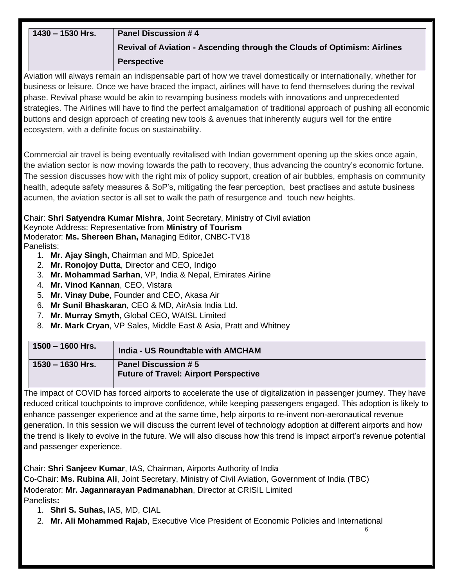| 1430 - 1530 Hrs.                                                                                                    | <b>Panel Discussion #4</b>                                                                                          |  |
|---------------------------------------------------------------------------------------------------------------------|---------------------------------------------------------------------------------------------------------------------|--|
|                                                                                                                     | Revival of Aviation - Ascending through the Clouds of Optimism: Airlines                                            |  |
|                                                                                                                     | <b>Perspective</b>                                                                                                  |  |
|                                                                                                                     | Aviation will always remain an indispensable part of how we travel domestically or internationally, whether for     |  |
|                                                                                                                     | business or leisure. Once we have braced the impact, airlines will have to fend themselves during the revival       |  |
|                                                                                                                     | phase. Revival phase would be akin to revamping business models with innovations and unprecedented                  |  |
|                                                                                                                     | strategies. The Airlines will have to find the perfect amalgamation of traditional approach of pushing all economic |  |
|                                                                                                                     | buttons and design approach of creating new tools & avenues that inherently augurs well for the entire              |  |
|                                                                                                                     | ecosystem, with a definite focus on sustainability.                                                                 |  |
|                                                                                                                     |                                                                                                                     |  |
|                                                                                                                     |                                                                                                                     |  |
|                                                                                                                     | Commercial air travel is being eventually revitalised with Indian government opening up the skies once again,       |  |
| the aviation sector is now moving towards the path to recovery, thus advancing the country's economic fortune.      |                                                                                                                     |  |
| The session discusses how with the right mix of policy support, creation of air bubbles, emphasis on community      |                                                                                                                     |  |
| health, adequte safety measures & SoP's, mitigating the fear perception, best practises and astute business         |                                                                                                                     |  |
| acumen, the aviation sector is all set to walk the path of resurgence and touch new heights.                        |                                                                                                                     |  |
|                                                                                                                     |                                                                                                                     |  |
| Chair: Shri Satyendra Kumar Mishra, Joint Secretary, Ministry of Civil aviation                                     |                                                                                                                     |  |
| Keynote Address: Representative from Ministry of Tourism<br>Moderator: Ms. Shereen Bhan, Managing Editor, CNBC-TV18 |                                                                                                                     |  |
| Panelists:                                                                                                          |                                                                                                                     |  |
|                                                                                                                     | 1. Mr. Ajay Singh, Chairman and MD, SpiceJet                                                                        |  |
|                                                                                                                     | 2. Mr. Ronojoy Dutta, Director and CEO, Indigo                                                                      |  |
|                                                                                                                     | 3. Mr. Mohammad Sarhan, VP, India & Nepal, Emirates Airline                                                         |  |
| 4. Mr. Vinod Kannan, CEO, Vistara                                                                                   |                                                                                                                     |  |
|                                                                                                                     | 5. Mr. Vinay Dube, Founder and CEO, Akasa Air                                                                       |  |

- 6. **Mr Sunil Bhaskaran**, CEO & MD, AirAsia India Ltd.
- 7. **Mr. Murray Smyth,** Global CEO, WAISL Limited
- 8. **Mr. Mark Cryan**, VP Sales, Middle East & Asia, Pratt and Whitney

| $1500 - 1600$ Hrs. | India - US Roundtable with AMCHAM                                          |
|--------------------|----------------------------------------------------------------------------|
| 1530 – 1630 Hrs.   | <b>Panel Discussion #5</b><br><b>Future of Travel: Airport Perspective</b> |

The impact of COVID has forced airports to accelerate the use of digitalization in passenger journey. They have reduced critical touchpoints to improve confidence, while keeping passengers engaged. This adoption is likely to enhance passenger experience and at the same time, help airports to re-invent non-aeronautical revenue generation. In this session we will discuss the current level of technology adoption at different airports and how the trend is likely to evolve in the future. We will also discuss how this trend is impact airport's revenue potential and passenger experience.

Chair: **Shri Sanjeev Kumar**, IAS, Chairman, Airports Authority of India

Co-Chair: **Ms. Rubina Ali**, Joint Secretary, Ministry of Civil Aviation, Government of India (TBC) Moderator: **Mr. Jagannarayan Padmanabhan**, Director at CRISIL Limited Panelists**:**

- 1. **Shri S. Suhas,** IAS, MD, CIAL
- 2. **Mr. Ali Mohammed Rajab**, Executive Vice President of Economic Policies and International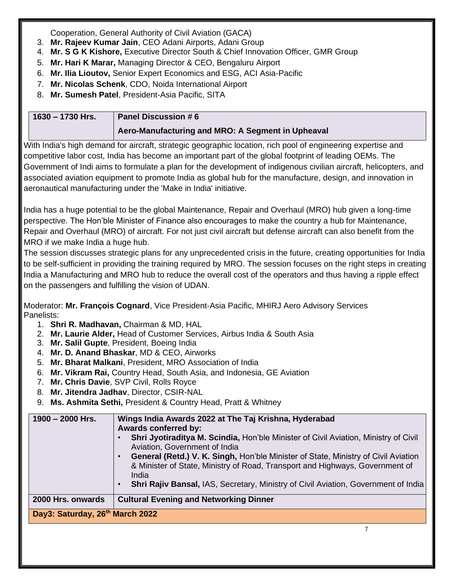Cooperation, General Authority of Civil Aviation (GACA)

- 3. **Mr. Rajeev Kumar Jain**, CEO Adani Airports, Adani Group
- 4. **Mr. S G K Kishore,** Executive Director South & Chief Innovation Officer, GMR Group
- 5. **Mr. Hari K Marar,** Managing Director & CEO, Bengaluru Airport
- 6. **Mr. Ilia Lioutov,** Senior Expert Economics and ESG, ACI Asia-Pacific
- 7. **Mr. Nicolas Schenk**, CDO, Noida International Airport
- 8. **Mr. Sumesh Patel**, President-Asia Pacific, SITA

| $1630 - 1730$ Hrs. | <b>Panel Discussion #6</b>                        |
|--------------------|---------------------------------------------------|
|                    | Aero-Manufacturing and MRO: A Segment in Upheaval |

With India's high demand for aircraft, strategic geographic location, rich pool of engineering expertise and competitive labor cost, India has become an important part of the global footprint of leading OEMs. The Government of Indi aims to formulate a plan for the development of indigenous civilian aircraft, helicopters, and associated aviation equipment to promote India as global hub for the manufacture, design, and innovation in aeronautical manufacturing under the 'Make in India' initiative.

India has a huge potential to be the global Maintenance, Repair and Overhaul (MRO) hub given a long-time perspective. The Hon'ble Minister of Finance also encourages to make the country a hub for Maintenance, Repair and Overhaul (MRO) of aircraft. For not just civil aircraft but defense aircraft can also benefit from the MRO if we make India a huge hub.

The session discusses strategic plans for any unprecedented crisis in the future, creating opportunities for India to be self-sufficient in providing the training required by MRO. The session focuses on the right steps in creating India a Manufacturing and MRO hub to reduce the overall cost of the operators and thus having a ripple effect on the passengers and fulfilling the vision of UDAN.

Moderator: **Mr. François Cognard**, Vice President-Asia Pacific, MHIRJ Aero Advisory Services Panelists:

- 1. **Shri R. Madhavan,** Chairman & MD, HAL
- 2. **Mr. Laurie Alder,** Head of Customer Services, Airbus India & South Asia
- 3. **Mr. Salil Gupte**, President, Boeing India
- 4. **Mr. D. Anand Bhaskar**, MD & CEO, Airworks
- 5. **Mr. Bharat Malkani**, President, MRO Association of India
- 6. **Mr. Vikram Rai,** Country Head, South Asia, and Indonesia, GE Aviation
- 7. **Mr. Chris Davie**, SVP Civil, Rolls Royce
- 8. **Mr. Jitendra Jadhav**, Director, CSIR-NAL
- 9. **Ms. Ashmita Sethi,** President & Country Head, Pratt & Whitney

| $1900 - 2000$ Hrs.              | Wings India Awards 2022 at The Taj Krishna, Hyderabad<br><b>Awards conferred by:</b><br>Shri Jyotiraditya M. Scindia, Hon'ble Minister of Civil Aviation, Ministry of Civil<br>Aviation, Government of India<br>General (Retd.) V. K. Singh, Hon'ble Minister of State, Ministry of Civil Aviation<br>& Minister of State, Ministry of Road, Transport and Highways, Government of<br>India<br>Shri Rajiv Bansal, IAS, Secretary, Ministry of Civil Aviation, Government of India<br>$\bullet$ |
|---------------------------------|------------------------------------------------------------------------------------------------------------------------------------------------------------------------------------------------------------------------------------------------------------------------------------------------------------------------------------------------------------------------------------------------------------------------------------------------------------------------------------------------|
| 2000 Hrs. onwards               | <b>Cultural Evening and Networking Dinner</b>                                                                                                                                                                                                                                                                                                                                                                                                                                                  |
| Day3: Saturday, 26th March 2022 |                                                                                                                                                                                                                                                                                                                                                                                                                                                                                                |